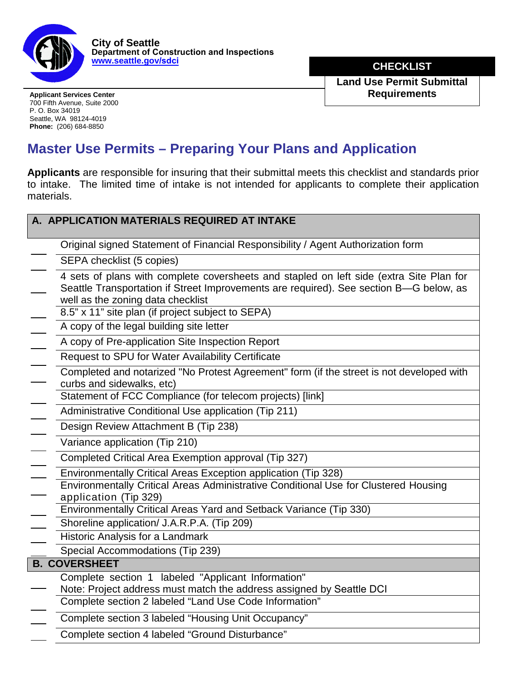

**City of Seattle Department of Construction and Inspections [www.seattle.gov/](http://www.cityofseattle.gov/dpd)sdci**

**DRECKLIST** 

**Land Use Permit Submittal**  Applicant Services Center **Requirements** 

700 Fifth Avenue, Suite 2000 P. O. Box 34019 Seattle, WA 98124-4019 **Phone:** (206) 684-8850

## **Master Use Permits – Preparing Your Plans and Application**

**Applicants** are responsible for insuring that their submittal meets this checklist and standards prior to intake. The limited time of intake is not intended for applicants to complete their application materials.

| A. APPLICATION MATERIALS REQUIRED AT INTAKE                                                                                                                                                                            |  |  |
|------------------------------------------------------------------------------------------------------------------------------------------------------------------------------------------------------------------------|--|--|
| Original signed Statement of Financial Responsibility / Agent Authorization form                                                                                                                                       |  |  |
| SEPA checklist (5 copies)                                                                                                                                                                                              |  |  |
| 4 sets of plans with complete coversheets and stapled on left side (extra Site Plan for<br>Seattle Transportation if Street Improvements are required). See section B-G below, as<br>well as the zoning data checklist |  |  |
| 8.5" x 11" site plan (if project subject to SEPA)                                                                                                                                                                      |  |  |
| A copy of the legal building site letter                                                                                                                                                                               |  |  |
| A copy of Pre-application Site Inspection Report                                                                                                                                                                       |  |  |
| Request to SPU for Water Availability Certificate                                                                                                                                                                      |  |  |
| Completed and notarized "No Protest Agreement" form (if the street is not developed with<br>curbs and sidewalks, etc)                                                                                                  |  |  |
| Statement of FCC Compliance (for telecom projects) [link]                                                                                                                                                              |  |  |
| Administrative Conditional Use application (Tip 211)                                                                                                                                                                   |  |  |
| Design Review Attachment B (Tip 238)                                                                                                                                                                                   |  |  |
| Variance application (Tip 210)                                                                                                                                                                                         |  |  |
| Completed Critical Area Exemption approval (Tip 327)                                                                                                                                                                   |  |  |
| Environmentally Critical Areas Exception application (Tip 328)                                                                                                                                                         |  |  |
| Environmentally Critical Areas Administrative Conditional Use for Clustered Housing<br>application (Tip 329)                                                                                                           |  |  |
| Environmentally Critical Areas Yard and Setback Variance (Tip 330)                                                                                                                                                     |  |  |
| Shoreline application/ J.A.R.P.A. (Tip 209)                                                                                                                                                                            |  |  |
| Historic Analysis for a Landmark                                                                                                                                                                                       |  |  |
| Special Accommodations (Tip 239)                                                                                                                                                                                       |  |  |
| <b>B. COVERSHEET</b>                                                                                                                                                                                                   |  |  |
| Complete section 1 labeled "Applicant Information"<br>Note: Project address must match the address assigned by Seattle DCI                                                                                             |  |  |
| Complete section 2 labeled "Land Use Code Information"                                                                                                                                                                 |  |  |
| Complete section 3 labeled "Housing Unit Occupancy"                                                                                                                                                                    |  |  |
| Complete section 4 labeled "Ground Disturbance"                                                                                                                                                                        |  |  |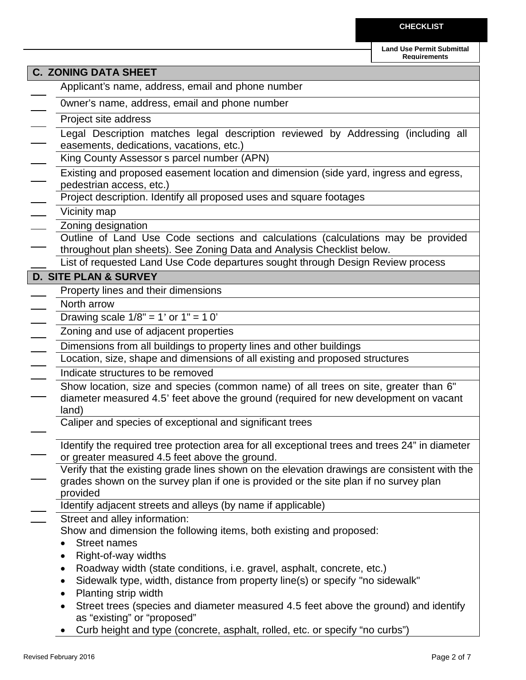**Land Use Permit Submittal Requirements**

|                                               | <b>C. ZONING DATA SHEET</b>                                                                                                                                                                       |  |  |
|-----------------------------------------------|---------------------------------------------------------------------------------------------------------------------------------------------------------------------------------------------------|--|--|
|                                               | Applicant's name, address, email and phone number                                                                                                                                                 |  |  |
| Owner's name, address, email and phone number |                                                                                                                                                                                                   |  |  |
|                                               | Project site address                                                                                                                                                                              |  |  |
|                                               | Legal Description matches legal description reviewed by Addressing (including all                                                                                                                 |  |  |
|                                               | easements, dedications, vacations, etc.)                                                                                                                                                          |  |  |
|                                               | King County Assessor s parcel number (APN)                                                                                                                                                        |  |  |
| $\overline{a}$                                | Existing and proposed easement location and dimension (side yard, ingress and egress,<br>pedestrian access, etc.)                                                                                 |  |  |
|                                               | Project description. Identify all proposed uses and square footages                                                                                                                               |  |  |
|                                               | Vicinity map                                                                                                                                                                                      |  |  |
|                                               | Zoning designation                                                                                                                                                                                |  |  |
|                                               | Outline of Land Use Code sections and calculations (calculations may be provided<br>throughout plan sheets). See Zoning Data and Analysis Checklist below.                                        |  |  |
|                                               | List of requested Land Use Code departures sought through Design Review process                                                                                                                   |  |  |
|                                               | <b>D. SITE PLAN &amp; SURVEY</b>                                                                                                                                                                  |  |  |
|                                               | Property lines and their dimensions                                                                                                                                                               |  |  |
|                                               | North arrow                                                                                                                                                                                       |  |  |
|                                               | Drawing scale $1/8" = 1'$ or $1" = 10'$                                                                                                                                                           |  |  |
|                                               | Zoning and use of adjacent properties                                                                                                                                                             |  |  |
| $\overline{\phantom{a}}$                      | Dimensions from all buildings to property lines and other buildings                                                                                                                               |  |  |
| Ξ                                             | Location, size, shape and dimensions of all existing and proposed structures                                                                                                                      |  |  |
|                                               | Indicate structures to be removed                                                                                                                                                                 |  |  |
|                                               | Show location, size and species (common name) of all trees on site, greater than 6"<br>diameter measured 4.5' feet above the ground (required for new development on vacant<br>land)              |  |  |
|                                               | Caliper and species of exceptional and significant trees                                                                                                                                          |  |  |
|                                               | Identify the required tree protection area for all exceptional trees and trees 24" in diameter<br>or greater measured 4.5 feet above the ground.                                                  |  |  |
|                                               | Verify that the existing grade lines shown on the elevation drawings are consistent with the<br>grades shown on the survey plan if one is provided or the site plan if no survey plan<br>provided |  |  |
|                                               | Identify adjacent streets and alleys (by name if applicable)                                                                                                                                      |  |  |
|                                               | Street and alley information:                                                                                                                                                                     |  |  |
|                                               | Show and dimension the following items, both existing and proposed:                                                                                                                               |  |  |
|                                               | <b>Street names</b><br>$\bullet$                                                                                                                                                                  |  |  |
|                                               | Right-of-way widths<br>$\bullet$<br>Roadway width (state conditions, i.e. gravel, asphalt, concrete, etc.)<br>٠                                                                                   |  |  |
|                                               | Sidewalk type, width, distance from property line(s) or specify "no sidewalk"<br>٠                                                                                                                |  |  |
|                                               | Planting strip width<br>٠                                                                                                                                                                         |  |  |
|                                               | Street trees (species and diameter measured 4.5 feet above the ground) and identify<br>$\bullet$<br>as "existing" or "proposed"                                                                   |  |  |
|                                               | Curb height and type (concrete, asphalt, rolled, etc. or specify "no curbs")                                                                                                                      |  |  |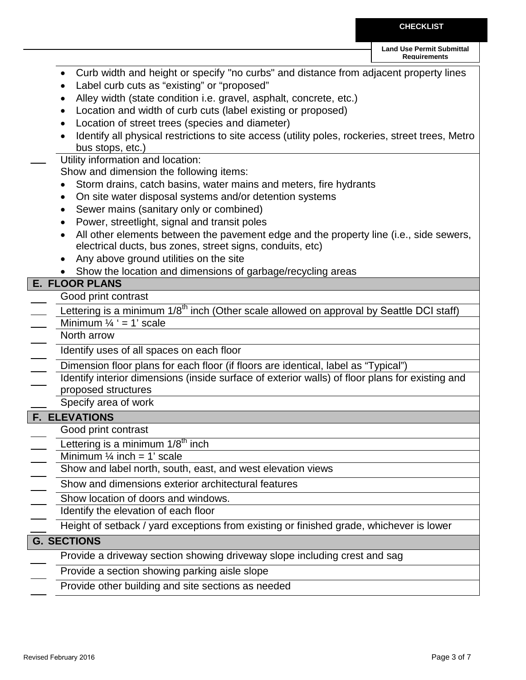**CHECKLIST**

|                                                                                                                                            | <b>Land Use Permit Submittal</b><br><b>Requirements</b> |
|--------------------------------------------------------------------------------------------------------------------------------------------|---------------------------------------------------------|
| Curb width and height or specify "no curbs" and distance from adjacent property lines                                                      |                                                         |
| Label curb cuts as "existing" or "proposed"                                                                                                |                                                         |
| Alley width (state condition i.e. gravel, asphalt, concrete, etc.)                                                                         |                                                         |
| Location and width of curb cuts (label existing or proposed)                                                                               |                                                         |
| Location of street trees (species and diameter)                                                                                            |                                                         |
| Identify all physical restrictions to site access (utility poles, rockeries, street trees, Metro                                           |                                                         |
| bus stops, etc.)                                                                                                                           |                                                         |
| Utility information and location:<br>Show and dimension the following items:                                                               |                                                         |
| Storm drains, catch basins, water mains and meters, fire hydrants                                                                          |                                                         |
| On site water disposal systems and/or detention systems                                                                                    |                                                         |
| Sewer mains (sanitary only or combined)<br>$\bullet$                                                                                       |                                                         |
| Power, streetlight, signal and transit poles<br>٠                                                                                          |                                                         |
| All other elements between the pavement edge and the property line (i.e., side sewers,                                                     |                                                         |
| electrical ducts, bus zones, street signs, conduits, etc)                                                                                  |                                                         |
| Any above ground utilities on the site                                                                                                     |                                                         |
| Show the location and dimensions of garbage/recycling areas                                                                                |                                                         |
| <b>E. FLOOR PLANS</b>                                                                                                                      |                                                         |
| Good print contrast                                                                                                                        |                                                         |
| Lettering is a minimum 1/8 <sup>th</sup> inch (Other scale allowed on approval by Seattle DCI staff)<br>Minimum $\frac{1}{4}$ ' = 1' scale |                                                         |
| North arrow                                                                                                                                |                                                         |
| Identify uses of all spaces on each floor                                                                                                  |                                                         |
| Dimension floor plans for each floor (if floors are identical, label as "Typical")                                                         |                                                         |
| Identify interior dimensions (inside surface of exterior walls) of floor plans for existing and                                            |                                                         |
| proposed structures                                                                                                                        |                                                         |
| Specify area of work                                                                                                                       |                                                         |
| <b>F. ELEVATIONS</b>                                                                                                                       |                                                         |
| Good print contrast                                                                                                                        |                                                         |
| Lettering is a minimum $1/8th$ inch                                                                                                        |                                                         |
| Minimum $\frac{1}{4}$ inch = 1' scale                                                                                                      |                                                         |
| Show and label north, south, east, and west elevation views                                                                                |                                                         |
| Show and dimensions exterior architectural features                                                                                        |                                                         |
| Show location of doors and windows.                                                                                                        |                                                         |
| Identify the elevation of each floor                                                                                                       |                                                         |
| Height of setback / yard exceptions from existing or finished grade, whichever is lower                                                    |                                                         |
| <b>G. SECTIONS</b>                                                                                                                         |                                                         |
| Provide a driveway section showing driveway slope including crest and sag                                                                  |                                                         |
| Provide a section showing parking aisle slope                                                                                              |                                                         |
| Provide other building and site sections as needed                                                                                         |                                                         |
|                                                                                                                                            |                                                         |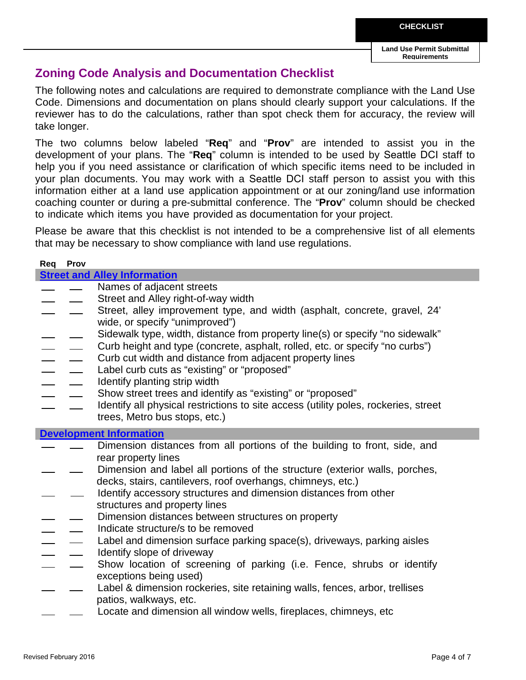**Land Use Permit Submittal Requirements**

## **Zoning Code Analysis and Documentation Checklist**

The following notes and calculations are required to demonstrate compliance with the Land Use Code. Dimensions and documentation on plans should clearly support your calculations. If the reviewer has to do the calculations, rather than spot check them for accuracy, the review will take longer.

The two columns below labeled "**Req**" and "**Prov**" are intended to assist you in the development of your plans. The "**Req**" column is intended to be used by Seattle DCI staff to help you if you need assistance or clarification of which specific items need to be included in your plan documents. You may work with a Seattle DCI staff person to assist you with this information either at a land use application appointment or at our zoning/land use information coaching counter or during a pre-submittal conference. The "**Prov**" column should be checked to indicate which items you have provided as documentation for your project.

Please be aware that this checklist is not intended to be a comprehensive list of all elements that may be necessary to show compliance with land use regulations.

| Req | <b>Prov</b>   |                                                                                     |
|-----|---------------|-------------------------------------------------------------------------------------|
|     |               | <b>Street and Alley Information</b>                                                 |
|     |               | Names of adjacent streets                                                           |
|     |               | Street and Alley right-of-way width                                                 |
|     |               | Street, alley improvement type, and width (asphalt, concrete, gravel, 24'           |
|     |               | wide, or specify "unimproved")                                                      |
|     |               | Sidewalk type, width, distance from property line(s) or specify "no sidewalk"       |
|     | $\frac{1}{2}$ | Curb height and type (concrete, asphalt, rolled, etc. or specify "no curbs")        |
|     |               | Curb cut width and distance from adjacent property lines                            |
|     |               | Label curb cuts as "existing" or "proposed"                                         |
|     |               | Identify planting strip width                                                       |
|     |               | Show street trees and identify as "existing" or "proposed"                          |
|     |               | Identify all physical restrictions to site access (utility poles, rockeries, street |
|     |               | trees, Metro bus stops, etc.)                                                       |
|     |               | <b>Development Information</b>                                                      |
|     |               | Dimension distances from all portions of the building to front, side, and           |
|     |               | rear property lines                                                                 |
|     |               | Dimension and label all portions of the structure (exterior walls, porches,         |
|     |               | decks, stairs, cantilevers, roof overhangs, chimneys, etc.)                         |
|     |               | Identify accessory structures and dimension distances from other                    |
|     |               | structures and property lines                                                       |
|     |               | Dimension distances between structures on property                                  |
|     |               | Indicate structure/s to be removed                                                  |
|     |               | Label and dimension surface parking space(s), driveways, parking aisles             |
|     |               |                                                                                     |
|     |               | Identify slope of driveway                                                          |
|     |               | Show location of screening of parking (i.e. Fence, shrubs or identify               |
|     |               | exceptions being used)                                                              |
|     |               | Label & dimension rockeries, site retaining walls, fences, arbor, trellises         |
|     |               | patios, walkways, etc.                                                              |
|     |               | Locate and dimension all window wells, fireplaces, chimneys, etc                    |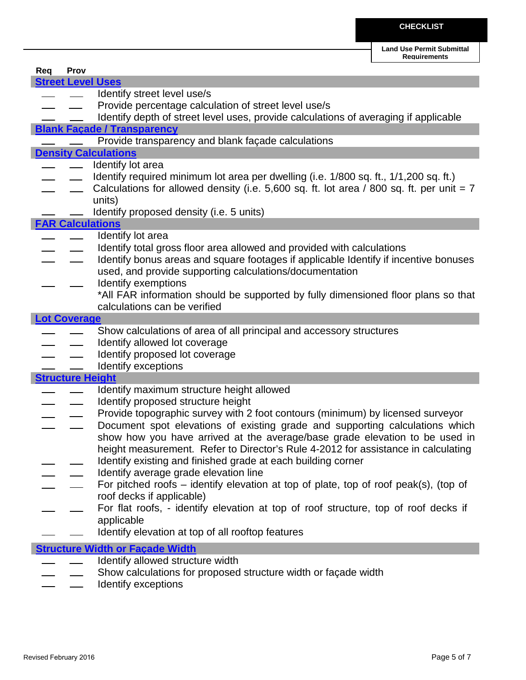**Land Use Permit Submittal** 

|                     |                         |                                                                                            | <b>Requirements</b> |
|---------------------|-------------------------|--------------------------------------------------------------------------------------------|---------------------|
| Req                 | Prov                    |                                                                                            |                     |
|                     |                         | <b>Street Level Uses</b>                                                                   |                     |
|                     |                         | Identify street level use/s                                                                |                     |
|                     |                         | Provide percentage calculation of street level use/s                                       |                     |
|                     |                         | Identify depth of street level uses, provide calculations of averaging if applicable       |                     |
|                     |                         | <b>Blank Facade / Transparency</b>                                                         |                     |
|                     |                         |                                                                                            |                     |
|                     |                         | Provide transparency and blank façade calculations                                         |                     |
|                     |                         | <b>Density Calculations</b>                                                                |                     |
|                     |                         | Identify lot area                                                                          |                     |
|                     |                         | Identify required minimum lot area per dwelling (i.e. 1/800 sq. ft., 1/1,200 sq. ft.)      |                     |
|                     |                         | Calculations for allowed density (i.e. 5,600 sq. ft. lot area / 800 sq. ft. per unit $= 7$ |                     |
|                     |                         | units)                                                                                     |                     |
|                     |                         | Identify proposed density (i.e. 5 units)                                                   |                     |
|                     |                         | <b>FAR Calculations</b>                                                                    |                     |
|                     |                         | Identify lot area                                                                          |                     |
|                     |                         | Identify total gross floor area allowed and provided with calculations                     |                     |
|                     |                         | Identify bonus areas and square footages if applicable Identify if incentive bonuses       |                     |
|                     |                         | used, and provide supporting calculations/documentation                                    |                     |
|                     |                         | Identify exemptions                                                                        |                     |
|                     |                         | *All FAR information should be supported by fully dimensioned floor plans so that          |                     |
|                     |                         |                                                                                            |                     |
|                     |                         | calculations can be verified                                                               |                     |
| <b>Lot Coverage</b> |                         |                                                                                            |                     |
|                     |                         | Show calculations of area of all principal and accessory structures                        |                     |
|                     |                         | Identify allowed lot coverage                                                              |                     |
|                     |                         | Identify proposed lot coverage                                                             |                     |
|                     |                         | Identify exceptions                                                                        |                     |
|                     | <b>Structure Height</b> |                                                                                            |                     |
|                     |                         | Identify maximum structure height allowed                                                  |                     |
|                     |                         | Identify proposed structure height                                                         |                     |
|                     |                         | Provide topographic survey with 2 foot contours (minimum) by licensed surveyor             |                     |
|                     |                         | Document spot elevations of existing grade and supporting calculations which               |                     |
|                     |                         | show how you have arrived at the average/base grade elevation to be used in                |                     |
|                     |                         | height measurement. Refer to Director's Rule 4-2012 for assistance in calculating          |                     |
|                     |                         | Identify existing and finished grade at each building corner                               |                     |
|                     |                         | Identify average grade elevation line                                                      |                     |
|                     |                         |                                                                                            |                     |
|                     |                         | For pitched roofs – identify elevation at top of plate, top of roof peak(s), (top of       |                     |
|                     |                         | roof decks if applicable)                                                                  |                     |
|                     |                         | For flat roofs, - identify elevation at top of roof structure, top of roof decks if        |                     |
|                     |                         | applicable                                                                                 |                     |
|                     |                         | Identify elevation at top of all rooftop features                                          |                     |
|                     |                         | <b>Structure Width or Façade Width</b>                                                     |                     |
|                     |                         | Identify allowed structure width                                                           |                     |
|                     |                         | Show calculations for proposed structure width or façade width                             |                     |
|                     |                         |                                                                                            |                     |

Identify exceptions $\frac{1}{2}$ ÷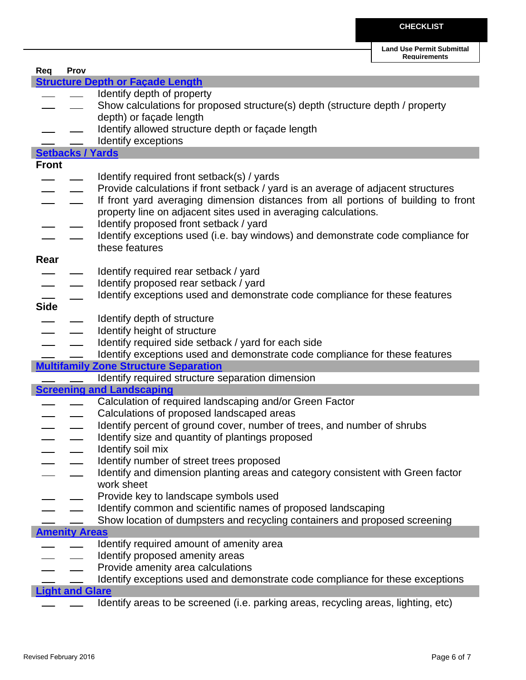| Req          | Prov                    |                                                                                    |
|--------------|-------------------------|------------------------------------------------------------------------------------|
|              |                         | <b>Structure Depth or Façade Length</b>                                            |
|              |                         | Identify depth of property                                                         |
|              |                         | Show calculations for proposed structure(s) depth (structure depth / property      |
|              |                         | depth) or façade length                                                            |
|              |                         | Identify allowed structure depth or façade length                                  |
|              |                         | Identify exceptions                                                                |
|              | <b>Setbacks / Yards</b> |                                                                                    |
| <b>Front</b> |                         |                                                                                    |
|              |                         | Identify required front setback(s) / yards                                         |
|              |                         | Provide calculations if front setback / yard is an average of adjacent structures  |
|              |                         | If front yard averaging dimension distances from all portions of building to front |
|              |                         | property line on adjacent sites used in averaging calculations.                    |
|              |                         | Identify proposed front setback / yard                                             |
|              |                         | Identify exceptions used (i.e. bay windows) and demonstrate code compliance for    |
|              |                         | these features                                                                     |
| Rear         |                         |                                                                                    |
|              |                         | Identify required rear setback / yard                                              |
|              |                         | Identify proposed rear setback / yard                                              |
|              |                         | Identify exceptions used and demonstrate code compliance for these features        |
| <b>Side</b>  |                         |                                                                                    |
|              |                         | Identify depth of structure                                                        |
|              |                         | Identify height of structure                                                       |
|              |                         | Identify required side setback / yard for each side                                |
|              |                         | Identify exceptions used and demonstrate code compliance for these features        |
|              |                         | <b>Multifamily Zone Structure Separation</b>                                       |
|              |                         | Identify required structure separation dimension                                   |
|              |                         | <b>Screening and Landscaping</b>                                                   |
|              |                         | Calculation of required landscaping and/or Green Factor                            |
|              |                         | Calculations of proposed landscaped areas                                          |
|              |                         | Identify percent of ground cover, number of trees, and number of shrubs            |
|              |                         | Identify size and quantity of plantings proposed                                   |
|              |                         | Identify soil mix                                                                  |
|              |                         | Identify number of street trees proposed                                           |
|              |                         | Identify and dimension planting areas and category consistent with Green factor    |
|              |                         | work sheet                                                                         |
|              |                         | Provide key to landscape symbols used                                              |
|              |                         | Identify common and scientific names of proposed landscaping                       |
|              |                         |                                                                                    |
|              |                         | Show location of dumpsters and recycling containers and proposed screening         |
|              | <b>Amenity Areas</b>    |                                                                                    |
|              |                         | Identify required amount of amenity area                                           |
|              |                         | Identify proposed amenity areas                                                    |
|              |                         | Provide amenity area calculations                                                  |
|              |                         | Identify exceptions used and demonstrate code compliance for these exceptions      |
|              | <b>Light and Glare</b>  |                                                                                    |
|              |                         | Identify areas to be screened (i.e. parking areas, recycling areas, lighting, etc) |